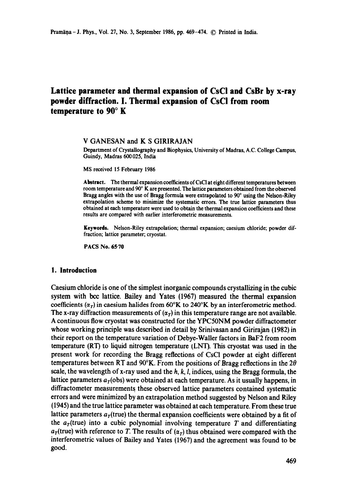# **Lattice parameter and thermal expansion of CsC! and CsBr by x-ray powder diffraction. I. Thermal expansion of CsCI from room temperature to 90 ° K**

## V GANESAN and K S GIRIRAJAN

Department of Crystallography and Biophysics, University of Madras, A.C. College Campus, Guindy, Madras 600025, India

MS received 15 February 1986

Abstract. The thermal expansion coefficients of CsCI at eight different temperatures betwcen room temperature and  $90^\circ$  K are presented. The lattice parameters obtained from the observed Bragg angles with the use of Bragg formula were extrapolated to  $90^{\circ}$  using the Nelson-Riley extrapolation scheme to minimize the systematic errors. The true lattice parameters thus obtained **at** each temperature were used to obtain the thermal expansion coefficients and these results are compared with earlier interferometric measurements.

**Keywords.** Nelson-Riley extrapolation; thermal expansion; caesium chloride; powder diffraction; lattice parameter; cryostat.

PACS No. **65-70** 

### **1. Introduction**

Caesium chloride is one of the simplest inorganic compounds crystallizing in the cubic system with bcc lattice. Bailey and Yates (1967) measured the thermal expansion coefficients ( $\alpha_r$ ) in caesium halides from 60°K to 240°K by an interferometric method. The x-ray diffraction measurements of  $(\alpha_T)$  in this temperature range are not available. A continuous flow cryostat was constructed for the YPC50NM powder diffractometer whose working principle was described in detail by Srinivasan and Girirajan (1982) in their report on the temperature variation of Debye-Waller factors in BaF2 from room temperature  $(RT)$  to liquid nitrogen temperature (LNT). This cryostat was used in the present work for recording the Bragg reflections of CsCI powder at eight different temperatures between RT and 90°K. From the positions of Bragg reflections in the *20*  scale, the wavelength of x-ray used and the  $h, k, l$ , indices, using the Bragg formula, the lattice parameters  $a<sub>T</sub>$ (obs) were obtained at each temperature. As it usually happens, in diffractometer measurements these observed lattice parameters contained systematic errors and were minimized by an extrapolation method suggested by Nelson and Riley (1945) and the true lattice parameter was obtained at each temperature. From these true lattice parameters  $a_r$ (true) the thermal expansion coefficients were obtained by a fit of the  $a<sub>T</sub>(true)$  into a cubic polynomial involving temperature T and differentiating  $a<sub>T</sub>$ (true) with reference to T. The results of  $(a<sub>T</sub>)$  thus obtained were compared with the interferometric values of Bailey and Yates (1967) and the agreement was found to be good.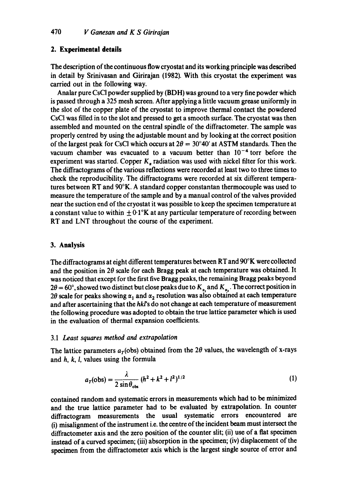### **2. Experimental details**

The description of the continuous flow cryostat and its working principle was described in detail by Srinivasan and Girirajan (1982). With this cryostat the experiment was carried out in the following way.

Analar pure CsCI powder supplied by (BDH) was ground to a very fine powder which is passed through a 325 mesh screen. After applying a little vacuum grease uniformly in the slot of the copper plate of the cryostat to improve thermal contact the powdered CsCI was filled in to the slot and pressed to get a smooth surface. The cryostat was then assembled and mounted on the central spindle of the diffractometer. The sample was properly centred by using the adjustable mount and by looking at the correct position of the largest peak for CsCI which occurs at  $2\theta = 30^{\circ}40'$  at ASTM standards. Then the vacuum chamber was evacuated to a vacuum better than  $10^{-4}$  torr before the experiment was started. Copper  $K_{\alpha}$  radiation was used with nickel filter for this work. The diffractograms of the various reflections were recorded at least two to three times to check the reproducibility. The diffractograms were recorded at six different temperatures between RT and 90°K. A standard copper constantan thermocouple was used to measure the temperature of the sample and by a manual control of the valves provided near the suction end of the cryostat it was possible to keep the specimen temperature at a constant value to within  $\pm 0.1$ °K at any particular temperature of recording between RT and LNT throughout the course of the experiment.

#### **3. Analysis**

The diffractograms at eight different temperatures between RT and 90°K were collected and the position in  $2\theta$  scale for each Bragg peak at each temperature was obtained. It was noticed that except for the first five Bragg peaks, the remaining Bragg peaks beyond  $2\theta = 60^{\circ}$ , showed two distinct but close peaks due to  $K_{\alpha}$ , and  $K_{\alpha}$ . The correct position in 20 scale for peaks showing  $\alpha_1$  and  $\alpha_2$  resolution was also obtained at each temperature and after ascertaining that the *hkrs* do not change at each temperature of measurement the following procedure was adopted to obtain the true lattice parameter which is used in the evaluation of thermal expansion coefficients.

#### 3.1 *Least squares method and extrapolation*

The lattice parameters  $a<sub>T</sub>$ (obs) obtained from the 2 $\theta$  values, the wavelength of x-rays and h, k, l, values using the formula

$$
a_T(\text{obs}) = \frac{\lambda}{2 \sin \theta_{\text{obs}}} (h^2 + k^2 + l^2)^{1/2}
$$
 (1)

contained random and systematic errors in measurements which had to be minimized and the true lattice parameter had to be evaluated by extrapolation. In counter diffractogram measurements the usual systematic errors encountered are (i) misalignment of the instrument i.e. the centre of the incident beam must intersect the diffractometer axis and the zero position of the counter slit; (ii) use of a flat specimen instead of a curved specimen; (iii) absorption in the specimen; (iv) displacement of the specimen from the diffractometer axis which is the largest single source of error and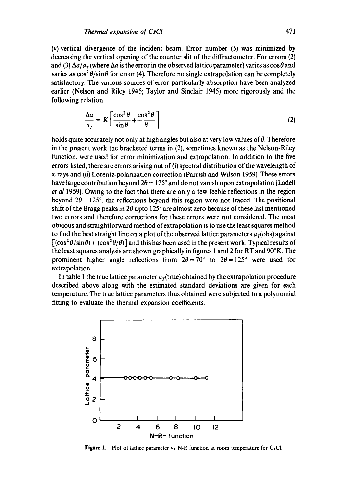(v) vertical divergence of the incident beam. Error number (5) was minimized by decreasing the vertical opening of the counter slit of the diffractometer. For errors (2) and (3)  $\Delta a/a<sub>T</sub>$  (where  $\Delta a$  is the error in the observed lattice parameter) varies as  $\cos\theta$  and varies as  $\cos^2 \theta / \sin \theta$  for error (4). Therefore no single extrapolation can be completely satisfactory. The various sources of error particularly absorption have been analyzed earlier (Nelson and Riley 1945; Taylor and Sinclair 1945) more rigorously and the following relation

$$
\frac{\Delta a}{a_T} = K \left[ \frac{\cos^2 \theta}{\sin \theta} + \frac{\cos^2 \theta}{\theta} \right]
$$
 (2)

holds quite accurately not only at high angles but also at very low values of  $\theta$ . Therefore in the present work the bracketed terms in (2), sometimes known as the Nelson-Riley function, were used for error minimization and extrapolation. In addition to the five errors listed, there are errors arising out of (i) spectral distribution of the wavelength of x-rays and (ii) Lorentz-polarization correction (Parrish and Wilson 1959). These errors have large contribution beyond  $2\theta = 125^\circ$  and do not vanish upon extrapolation (Ladell *et al* 1959). Owing to the fact that there are only a few feeble reflections in the region beyond  $2\theta = 125^{\circ}$ , the reflections beyond this region were not traced. The positional shift of the Bragg peaks in 2 $\theta$  upto 125° are almost zero because of these last mentioned two errors and therefore corrections for these errors were not considered. The most obvious and straightforward method of extrapolation is to use the least squares method to find the best straight line on a plot of the observed lattice parameters  $a_r$ (obs) against  $[(\cos^2 \theta / \sin \theta) + (\cos^2 \theta / \theta)]$  and this has been used in the present work. Typical results of the least squares analysis are shown graphically in figures I and 2 for RT and 90°K. The prominent higher angle reflections from  $2\theta = 70^{\circ}$  to  $2\theta = 125^{\circ}$  were used for extrapolation.

In table 1 the true lattice parameter  $a<sub>T</sub>(true)$  obtained by the extrapolation procedure described above along with the estimated standard deviations are given for each temperature. The true lattice parameters thus obtained were subjected to a polynomial fitting to evaluate the thermal expansion coefficients.



**Figure** 1. Plot of lattice parameter vs N-R function at room temperature for CsC1.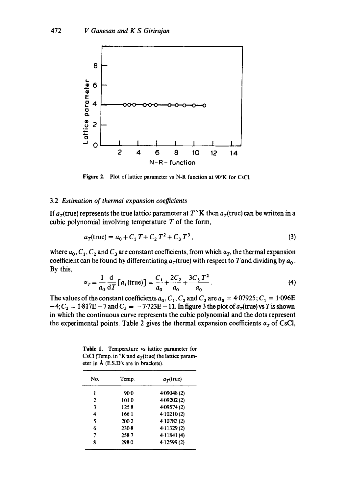

**Figure** 2. Plot of lattice parameter vs N-R function at 90°K for CsCI.

#### 3.2 *Estimation of thermal expansion coefficients*

If  $a_T$ (true) represents the true lattice parameter at  $T<sup>o</sup>$  K then  $a_T$ (true) can be written in a cubic polynomial involving temperature  $T$  of the form,

$$
a_T(\text{true}) = a_0 + C_1 T + C_2 T^2 + C_3 T^3, \tag{3}
$$

where  $a_0, C_1, C_2$  and  $C_3$  are constant coefficients, from which  $\alpha_T$ , the thermal expansion coefficient can be found by differentiating  $a_T$ (true) with respect to T and dividing by  $a_0$ . By this,

$$
\alpha_T = \frac{1}{a_0} \frac{d}{dT} \left[ a_T(\text{true}) \right] = \frac{C_1}{a_0} + \frac{2C_2}{a_0} + \frac{3C_3 T^2}{a_0} \,. \tag{4}
$$

The values of the constant coefficients  $a_0$ ,  $C_1$ ,  $C_2$  and  $C_3$  are  $a_0 = 4.07925$ ;  $C_1 = 1.096E$  $-4$ ;  $C_2 = 1.817E - 7$  and  $C_3 = -7.723E - 11$ . In figure 3 the plot of  $a_T$ (true) vs T is shown in which the continuous curve represents the cubic polynomial and the dots represent the experimental points. Table 2 gives the thermal expansion coefficients  $\alpha_T$  of CsCl,

**Table** 1. Temperature vs lattice parameter for CsCI (Temp. in  ${}^{\circ}\mathbf{K}$  and  $a_{\tau}$ (true) the lattice parameter in  $\overline{A}$  (E.S.D's are in brackets).

| No. | Temp.     | $a_{\tau}$ (true) |
|-----|-----------|-------------------|
| 1   | $90-0$    | 4.09048 (2)       |
| 2   | $101-0$   | 4.09202 (2)       |
| 3   | 125.8     | 4.09574 (2)       |
| 4   | $166 - 1$ | 4.10210(2)        |
| 5   | 200.2     | 4 10783 (2)       |
| 6   | $230-8$   | 4.11329(2)        |
| 7   | $258 - 7$ | 4.11841(4)        |
| 8   | 298.0     | 4.12599(2)        |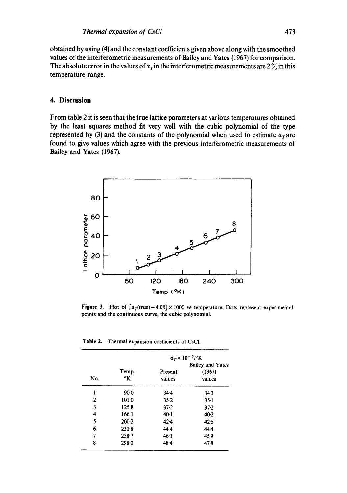obtained by using (4) and the constant coefficients given above along with the smoothed values of the interferometric measurements of Bailey and Yates (1967) for comparison. The absolute error in the values of  $\alpha<sub>T</sub>$  in the interferometric measurements are 2  $\%$  in this temperature range.

#### **4. Discussion**

From table 2 it is seen that the true lattice parameters at various temperatures obtained by the least squares method fit very well with the cubic polynomial of the type represented by (3) and the constants of the polynomial when used to estimate  $\alpha_T$  are found to give values which agree with the previous interferometric measurements of Bailey and Yates (1967).



Figure 3. Plot of  $[a_T(\text{true})-4.08] \times 1000$  vs temperature. Dots represent experimental points and the continuous curve, the cubic polynomial.

**Table 2.** Thermal expansion coefficients of CsCI.

| No.            |             | $\alpha_T \times 10^{-6}$ /°K |                                             |
|----------------|-------------|-------------------------------|---------------------------------------------|
|                | Temp.<br>°K | Present<br>values             | <b>Bailey and Yates</b><br>(1967)<br>values |
| 1              | $90-0$      | 344                           | 34.3                                        |
| $\overline{2}$ | 1010        | 35.2                          | $35-1$                                      |
| 3              | $125-8$     | 37.2                          | $37 - 2$                                    |
| 4              | 166.1       | 40:1                          | $40-2$                                      |
| 5              | $200-2$     | 42.4                          | 42.5                                        |
| 6              | $230-8$     | 44.4                          | 44.4                                        |
| 7              | $258 - 7$   | 46.1                          | 45.9                                        |
| 8              | 298.0       | $48 - 4$                      | 47.8                                        |